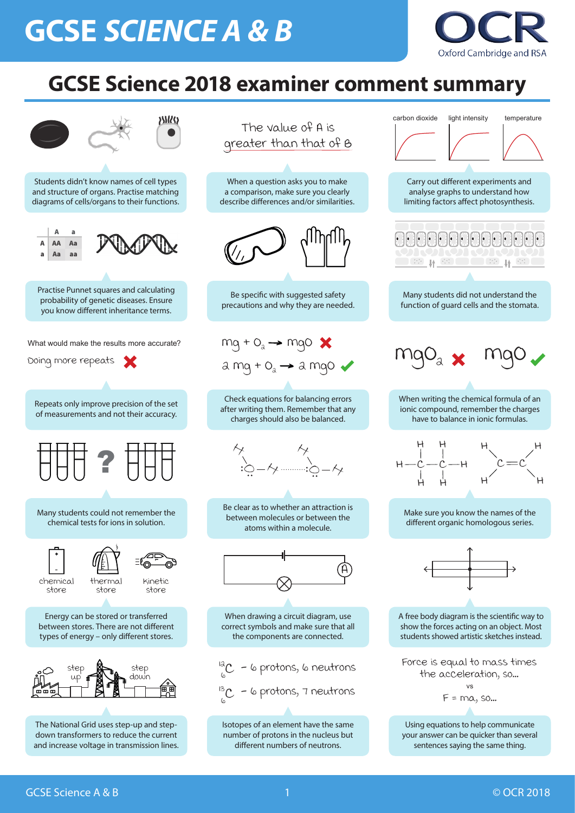## **GCSE** *SCIENCE A & B*







## **GCSE Science 2018 examiner comment summary**

1

 $\varphi$  $\int_{0}^{13}$ C - 6 protons, 7 neutrons

between stores. There are not different types of energy – only different stores.

When drawing a circuit diagram, use correct symbols and make sure that all the components are connected.

show the forces acting on an object. Most students showed artistic sketches instead.



The National Grid uses step-up and stepdown transformers to reduce the current and increase voltage in transmission lines.

Isotopes of an element have the same number of protons in the nucleus but different numbers of neutrons.

Using equations to help communicate your answer can be quicker than several sentences saying the same thing.

$$
\frac{d}{d\omega}C - \omega\text{ protons, } \omega\text{ neutrons}
$$



Force is equal to mass times the acceleration, so...  $F = ma$ , so... vs